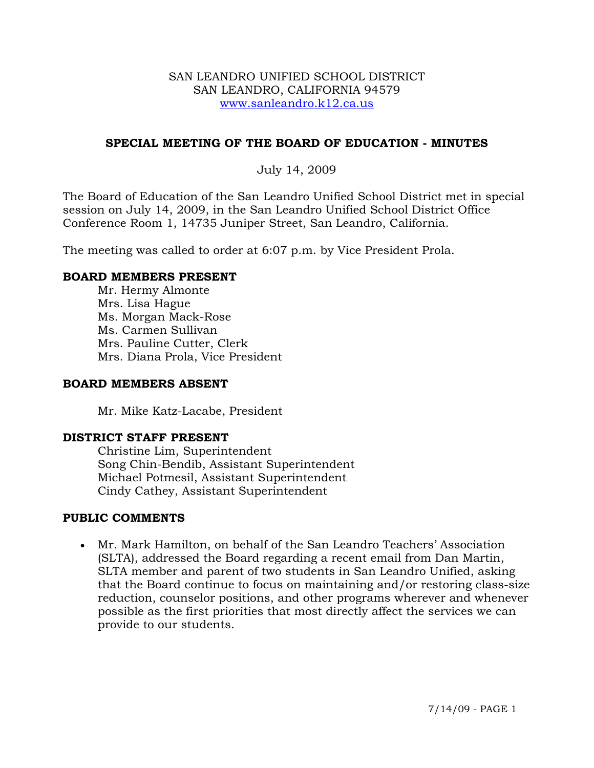#### SAN LEANDRO UNIFIED SCHOOL DISTRICT SAN LEANDRO, CALIFORNIA 94579 www.sanleandro.k12.ca.us

### **SPECIAL MEETING OF THE BOARD OF EDUCATION - MINUTES**

### July 14, 2009

The Board of Education of the San Leandro Unified School District met in special session on July 14, 2009, in the San Leandro Unified School District Office Conference Room 1, 14735 Juniper Street, San Leandro, California.

The meeting was called to order at 6:07 p.m. by Vice President Prola.

#### **BOARD MEMBERS PRESENT**

Mr. Hermy Almonte Mrs. Lisa Hague Ms. Morgan Mack-Rose Ms. Carmen Sullivan Mrs. Pauline Cutter, Clerk Mrs. Diana Prola, Vice President

#### **BOARD MEMBERS ABSENT**

Mr. Mike Katz-Lacabe, President

# **DISTRICT STAFF PRESENT**

Christine Lim, Superintendent Song Chin-Bendib, Assistant Superintendent Michael Potmesil, Assistant Superintendent Cindy Cathey, Assistant Superintendent

#### **PUBLIC COMMENTS**

• Mr. Mark Hamilton, on behalf of the San Leandro Teachers' Association (SLTA), addressed the Board regarding a recent email from Dan Martin, SLTA member and parent of two students in San Leandro Unified, asking that the Board continue to focus on maintaining and/or restoring class-size reduction, counselor positions, and other programs wherever and whenever possible as the first priorities that most directly affect the services we can provide to our students.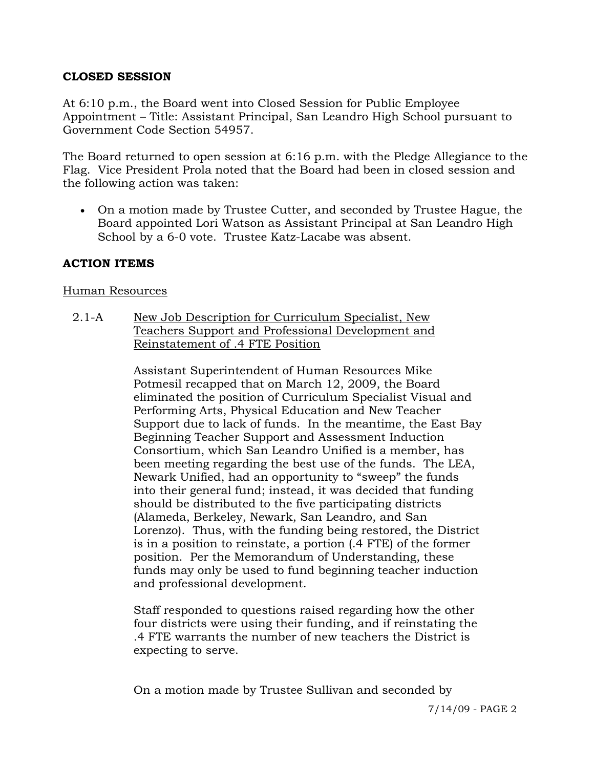# **CLOSED SESSION**

At 6:10 p.m., the Board went into Closed Session for Public Employee Appointment – Title: Assistant Principal, San Leandro High School pursuant to Government Code Section 54957.

The Board returned to open session at 6:16 p.m. with the Pledge Allegiance to the Flag. Vice President Prola noted that the Board had been in closed session and the following action was taken:

• On a motion made by Trustee Cutter, and seconded by Trustee Hague, the Board appointed Lori Watson as Assistant Principal at San Leandro High School by a 6-0 vote. Trustee Katz-Lacabe was absent.

# **ACTION ITEMS**

### Human Resources

2.1-A New Job Description for Curriculum Specialist, New Teachers Support and Professional Development and Reinstatement of .4 FTE Position

> Assistant Superintendent of Human Resources Mike Potmesil recapped that on March 12, 2009, the Board eliminated the position of Curriculum Specialist Visual and Performing Arts, Physical Education and New Teacher Support due to lack of funds. In the meantime, the East Bay Beginning Teacher Support and Assessment Induction Consortium, which San Leandro Unified is a member, has been meeting regarding the best use of the funds. The LEA, Newark Unified, had an opportunity to "sweep" the funds into their general fund; instead, it was decided that funding should be distributed to the five participating districts (Alameda, Berkeley, Newark, San Leandro, and San Lorenzo). Thus, with the funding being restored, the District is in a position to reinstate, a portion (.4 FTE) of the former position. Per the Memorandum of Understanding, these funds may only be used to fund beginning teacher induction and professional development.

> Staff responded to questions raised regarding how the other four districts were using their funding, and if reinstating the .4 FTE warrants the number of new teachers the District is expecting to serve.

On a motion made by Trustee Sullivan and seconded by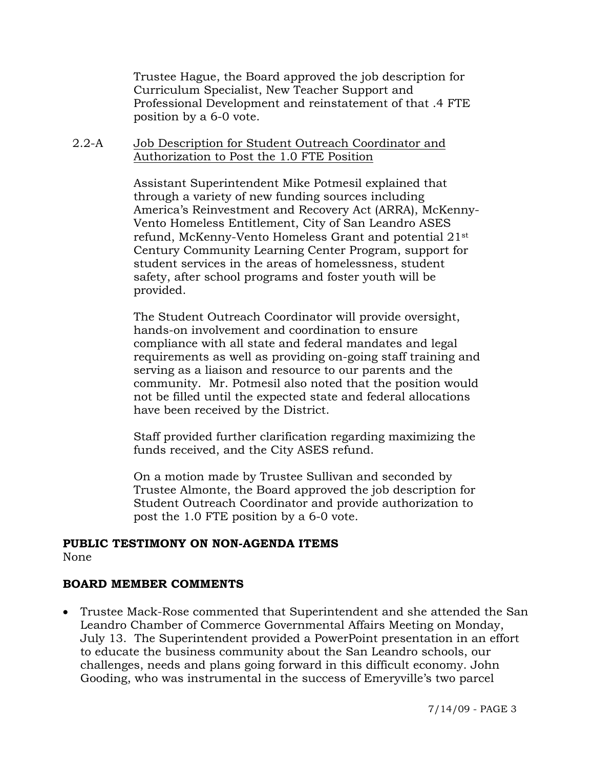Trustee Hague, the Board approved the job description for Curriculum Specialist, New Teacher Support and Professional Development and reinstatement of that .4 FTE position by a 6-0 vote.

2.2-A Job Description for Student Outreach Coordinator and Authorization to Post the 1.0 FTE Position

> Assistant Superintendent Mike Potmesil explained that through a variety of new funding sources including America's Reinvestment and Recovery Act (ARRA), McKenny-Vento Homeless Entitlement, City of San Leandro ASES refund, McKenny-Vento Homeless Grant and potential 21st Century Community Learning Center Program, support for student services in the areas of homelessness, student safety, after school programs and foster youth will be provided.

> The Student Outreach Coordinator will provide oversight, hands-on involvement and coordination to ensure compliance with all state and federal mandates and legal requirements as well as providing on-going staff training and serving as a liaison and resource to our parents and the community. Mr. Potmesil also noted that the position would not be filled until the expected state and federal allocations have been received by the District.

Staff provided further clarification regarding maximizing the funds received, and the City ASES refund.

On a motion made by Trustee Sullivan and seconded by Trustee Almonte, the Board approved the job description for Student Outreach Coordinator and provide authorization to post the 1.0 FTE position by a 6-0 vote.

### **PUBLIC TESTIMONY ON NON-AGENDA ITEMS**  None

## **BOARD MEMBER COMMENTS**

• Trustee Mack-Rose commented that Superintendent and she attended the San Leandro Chamber of Commerce Governmental Affairs Meeting on Monday, July 13. The Superintendent provided a PowerPoint presentation in an effort to educate the business community about the San Leandro schools, our challenges, needs and plans going forward in this difficult economy. John Gooding, who was instrumental in the success of Emeryville's two parcel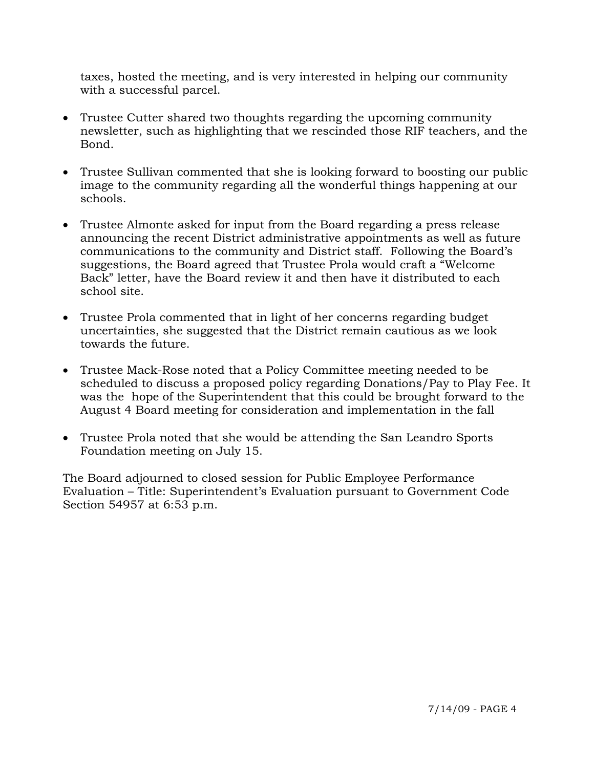taxes, hosted the meeting, and is very interested in helping our community with a successful parcel.

- Trustee Cutter shared two thoughts regarding the upcoming community newsletter, such as highlighting that we rescinded those RIF teachers, and the Bond.
- Trustee Sullivan commented that she is looking forward to boosting our public image to the community regarding all the wonderful things happening at our schools.
- Trustee Almonte asked for input from the Board regarding a press release announcing the recent District administrative appointments as well as future communications to the community and District staff. Following the Board's suggestions, the Board agreed that Trustee Prola would craft a "Welcome Back" letter, have the Board review it and then have it distributed to each school site.
- Trustee Prola commented that in light of her concerns regarding budget uncertainties, she suggested that the District remain cautious as we look towards the future.
- Trustee Mack-Rose noted that a Policy Committee meeting needed to be scheduled to discuss a proposed policy regarding Donations/Pay to Play Fee. It was the hope of the Superintendent that this could be brought forward to the August 4 Board meeting for consideration and implementation in the fall
- Trustee Prola noted that she would be attending the San Leandro Sports Foundation meeting on July 15.

The Board adjourned to closed session for Public Employee Performance Evaluation – Title: Superintendent's Evaluation pursuant to Government Code Section 54957 at 6:53 p.m.